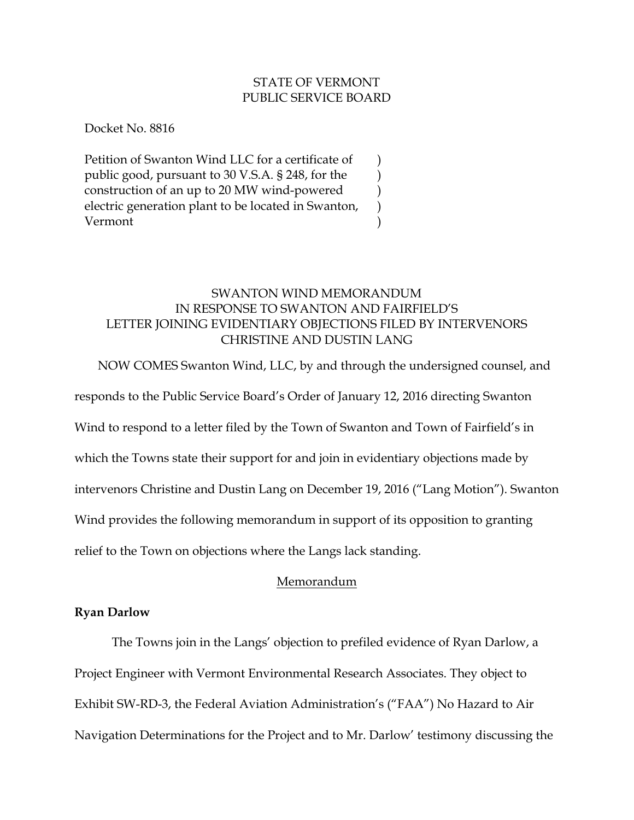### STATE OF VERMONT PUBLIC SERVICE BOARD

) ) ) ) )

Docket No. 8816

Petition of Swanton Wind LLC for a certificate of public good, pursuant to 30 V.S.A. § 248, for the construction of an up to 20 MW wind-powered electric generation plant to be located in Swanton, Vermont

# SWANTON WIND MEMORANDUM IN RESPONSE TO SWANTON AND FAIRFIELD'S LETTER JOINING EVIDENTIARY OBJECTIONS FILED BY INTERVENORS CHRISTINE AND DUSTIN LANG

NOW COMES Swanton Wind, LLC, by and through the undersigned counsel, and

responds to the Public Service Board's Order of January 12, 2016 directing Swanton

Wind to respond to a letter filed by the Town of Swanton and Town of Fairfield's in

which the Towns state their support for and join in evidentiary objections made by

intervenors Christine and Dustin Lang on December 19, 2016 ("Lang Motion"). Swanton

Wind provides the following memorandum in support of its opposition to granting

relief to the Town on objections where the Langs lack standing.

## Memorandum

## **Ryan Darlow**

The Towns join in the Langs' objection to prefiled evidence of Ryan Darlow, a Project Engineer with Vermont Environmental Research Associates. They object to Exhibit SW-RD-3, the Federal Aviation Administration's ("FAA") No Hazard to Air Navigation Determinations for the Project and to Mr. Darlow' testimony discussing the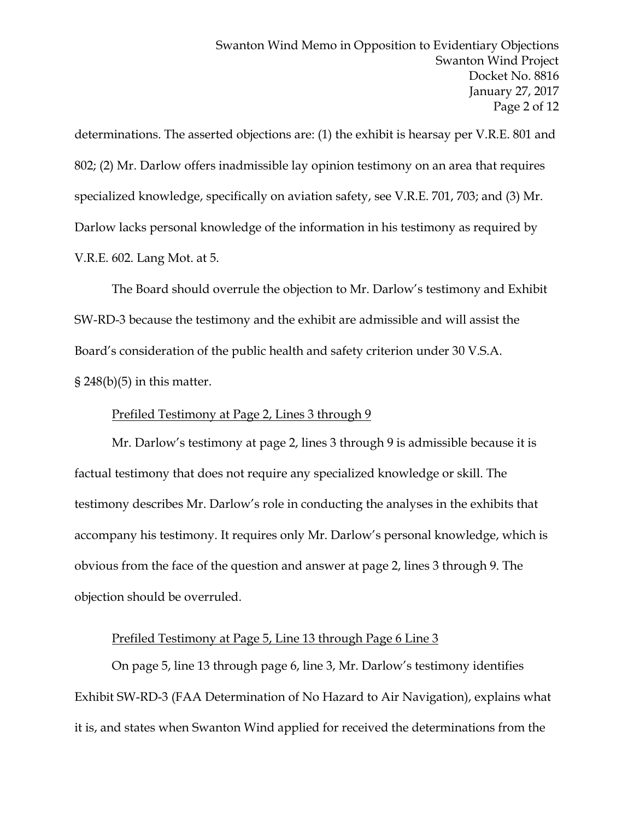determinations. The asserted objections are: (1) the exhibit is hearsay per V.R.E. 801 and 802; (2) Mr. Darlow offers inadmissible lay opinion testimony on an area that requires specialized knowledge, specifically on aviation safety, see V.R.E. 701, 703; and (3) Mr. Darlow lacks personal knowledge of the information in his testimony as required by V.R.E. 602. Lang Mot. at 5.

The Board should overrule the objection to Mr. Darlow's testimony and Exhibit SW-RD-3 because the testimony and the exhibit are admissible and will assist the Board's consideration of the public health and safety criterion under 30 V.S.A.  $\S 248(b)(5)$  in this matter.

### Prefiled Testimony at Page 2, Lines 3 through 9

Mr. Darlow's testimony at page 2, lines 3 through 9 is admissible because it is factual testimony that does not require any specialized knowledge or skill. The testimony describes Mr. Darlow's role in conducting the analyses in the exhibits that accompany his testimony. It requires only Mr. Darlow's personal knowledge, which is obvious from the face of the question and answer at page 2, lines 3 through 9. The objection should be overruled.

## Prefiled Testimony at Page 5, Line 13 through Page 6 Line 3

On page 5, line 13 through page 6, line 3, Mr. Darlow's testimony identifies Exhibit SW-RD-3 (FAA Determination of No Hazard to Air Navigation), explains what it is, and states when Swanton Wind applied for received the determinations from the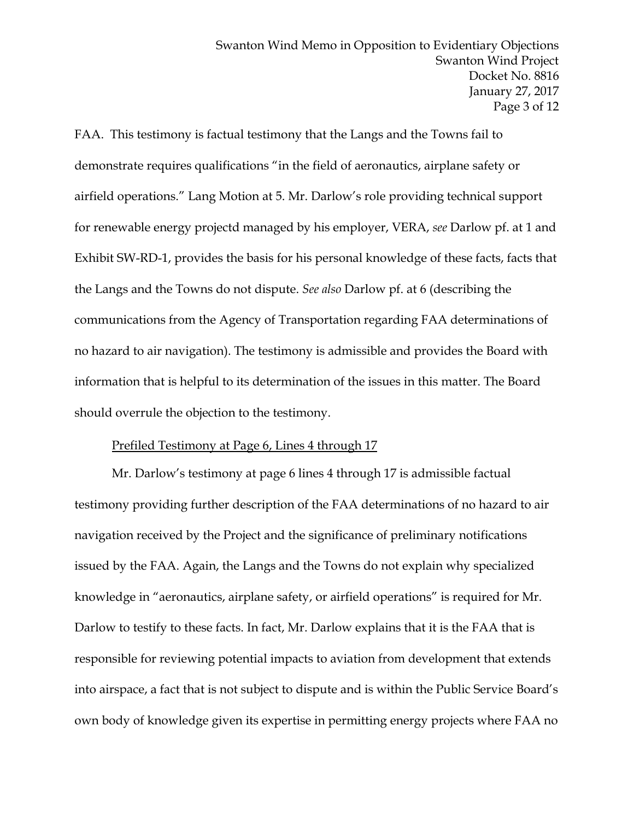FAA. This testimony is factual testimony that the Langs and the Towns fail to demonstrate requires qualifications "in the field of aeronautics, airplane safety or airfield operations." Lang Motion at 5. Mr. Darlow's role providing technical support for renewable energy projectd managed by his employer, VERA, *see* Darlow pf. at 1 and Exhibit SW-RD-1, provides the basis for his personal knowledge of these facts, facts that the Langs and the Towns do not dispute. *See also* Darlow pf. at 6 (describing the communications from the Agency of Transportation regarding FAA determinations of no hazard to air navigation). The testimony is admissible and provides the Board with information that is helpful to its determination of the issues in this matter. The Board should overrule the objection to the testimony.

#### Prefiled Testimony at Page 6, Lines 4 through 17

Mr. Darlow's testimony at page 6 lines 4 through 17 is admissible factual testimony providing further description of the FAA determinations of no hazard to air navigation received by the Project and the significance of preliminary notifications issued by the FAA. Again, the Langs and the Towns do not explain why specialized knowledge in "aeronautics, airplane safety, or airfield operations" is required for Mr. Darlow to testify to these facts. In fact, Mr. Darlow explains that it is the FAA that is responsible for reviewing potential impacts to aviation from development that extends into airspace, a fact that is not subject to dispute and is within the Public Service Board's own body of knowledge given its expertise in permitting energy projects where FAA no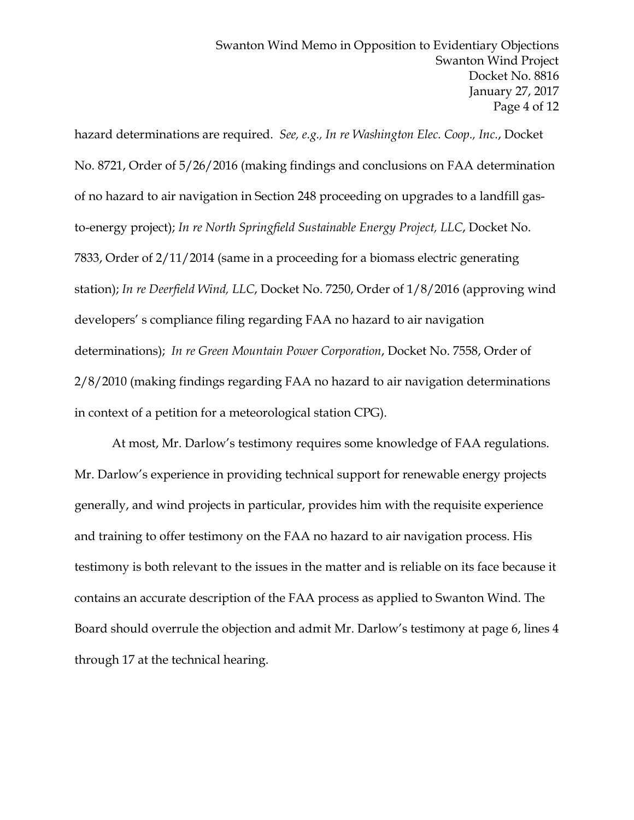hazard determinations are required. *See, e.g., In re Washington Elec. Coop., Inc.*, Docket No. 8721, Order of 5/26/2016 (making findings and conclusions on FAA determination of no hazard to air navigation in Section 248 proceeding on upgrades to a landfill gasto-energy project); *In re North Springfield Sustainable Energy Project, LLC*, Docket No. 7833, Order of 2/11/2014 (same in a proceeding for a biomass electric generating station); *In re Deerfield Wind, LLC*, Docket No. 7250, Order of 1/8/2016 (approving wind developers' s compliance filing regarding FAA no hazard to air navigation determinations); *In re Green Mountain Power Corporation*, Docket No. 7558, Order of 2/8/2010 (making findings regarding FAA no hazard to air navigation determinations in context of a petition for a meteorological station CPG).

At most, Mr. Darlow's testimony requires some knowledge of FAA regulations. Mr. Darlow's experience in providing technical support for renewable energy projects generally, and wind projects in particular, provides him with the requisite experience and training to offer testimony on the FAA no hazard to air navigation process. His testimony is both relevant to the issues in the matter and is reliable on its face because it contains an accurate description of the FAA process as applied to Swanton Wind. The Board should overrule the objection and admit Mr. Darlow's testimony at page 6, lines 4 through 17 at the technical hearing.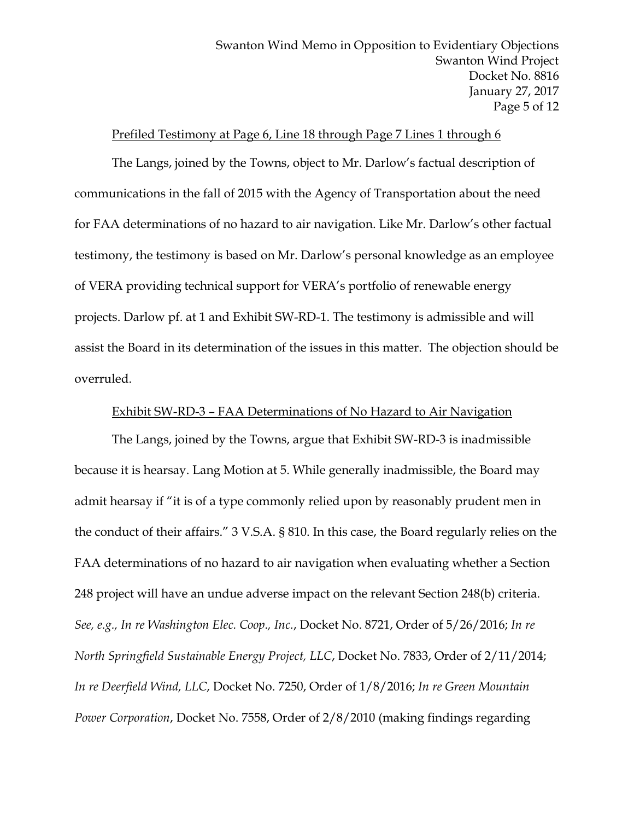### Prefiled Testimony at Page 6, Line 18 through Page 7 Lines 1 through 6

The Langs, joined by the Towns, object to Mr. Darlow's factual description of communications in the fall of 2015 with the Agency of Transportation about the need for FAA determinations of no hazard to air navigation. Like Mr. Darlow's other factual testimony, the testimony is based on Mr. Darlow's personal knowledge as an employee of VERA providing technical support for VERA's portfolio of renewable energy projects. Darlow pf. at 1 and Exhibit SW-RD-1. The testimony is admissible and will assist the Board in its determination of the issues in this matter. The objection should be overruled.

#### Exhibit SW-RD-3 – FAA Determinations of No Hazard to Air Navigation

The Langs, joined by the Towns, argue that Exhibit SW-RD-3 is inadmissible because it is hearsay. Lang Motion at 5. While generally inadmissible, the Board may admit hearsay if "it is of a type commonly relied upon by reasonably prudent men in the conduct of their affairs." 3 V.S.A. § 810. In this case, the Board regularly relies on the FAA determinations of no hazard to air navigation when evaluating whether a Section 248 project will have an undue adverse impact on the relevant Section 248(b) criteria. *See, e.g., In re Washington Elec. Coop., Inc.*, Docket No. 8721, Order of 5/26/2016; *In re North Springfield Sustainable Energy Project, LLC*, Docket No. 7833, Order of 2/11/2014; *In re Deerfield Wind, LLC*, Docket No. 7250, Order of 1/8/2016; *In re Green Mountain Power Corporation*, Docket No. 7558, Order of 2/8/2010 (making findings regarding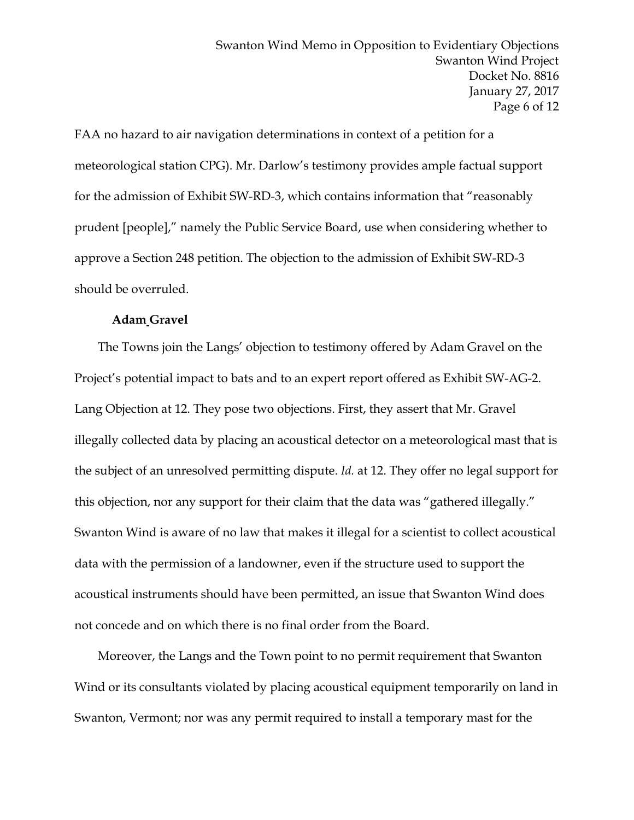FAA no hazard to air navigation determinations in context of a petition for a meteorological station CPG). Mr. Darlow's testimony provides ample factual support for the admission of Exhibit SW-RD-3, which contains information that "reasonably prudent [people]," namely the Public Service Board, use when considering whether to approve a Section 248 petition. The objection to the admission of Exhibit SW-RD-3 should be overruled.

#### **Adam Gravel**

The Towns join the Langs' objection to testimony offered by Adam Gravel on the Project's potential impact to bats and to an expert report offered as Exhibit SW-AG-2. Lang Objection at 12. They pose two objections. First, they assert that Mr. Gravel illegally collected data by placing an acoustical detector on a meteorological mast that is the subject of an unresolved permitting dispute. *Id.* at 12. They offer no legal support for this objection, nor any support for their claim that the data was "gathered illegally." Swanton Wind is aware of no law that makes it illegal for a scientist to collect acoustical data with the permission of a landowner, even if the structure used to support the acoustical instruments should have been permitted, an issue that Swanton Wind does not concede and on which there is no final order from the Board.

Moreover, the Langs and the Town point to no permit requirement that Swanton Wind or its consultants violated by placing acoustical equipment temporarily on land in Swanton, Vermont; nor was any permit required to install a temporary mast for the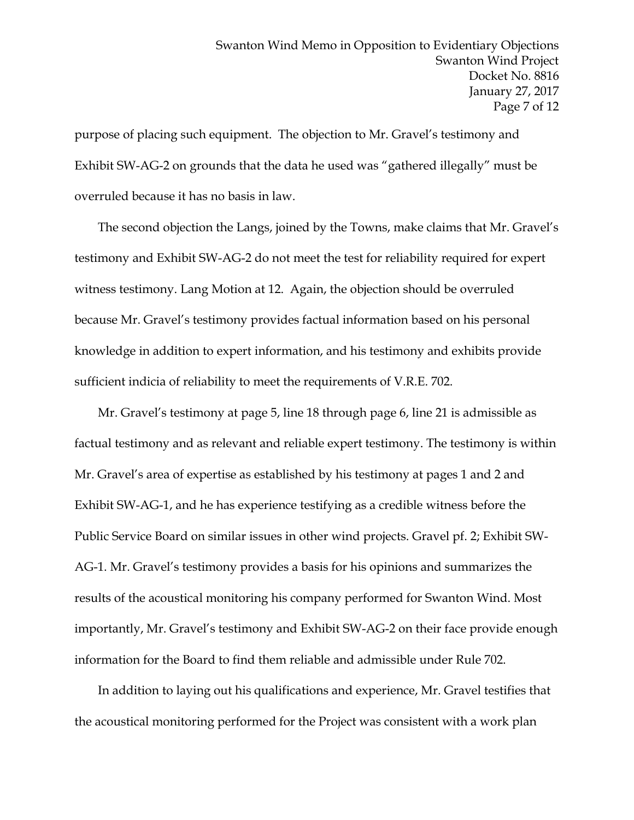purpose of placing such equipment. The objection to Mr. Gravel's testimony and Exhibit SW-AG-2 on grounds that the data he used was "gathered illegally" must be overruled because it has no basis in law.

The second objection the Langs, joined by the Towns, make claims that Mr. Gravel's testimony and Exhibit SW-AG-2 do not meet the test for reliability required for expert witness testimony. Lang Motion at 12. Again, the objection should be overruled because Mr. Gravel's testimony provides factual information based on his personal knowledge in addition to expert information, and his testimony and exhibits provide sufficient indicia of reliability to meet the requirements of V.R.E. 702.

Mr. Gravel's testimony at page 5, line 18 through page 6, line 21 is admissible as factual testimony and as relevant and reliable expert testimony. The testimony is within Mr. Gravel's area of expertise as established by his testimony at pages 1 and 2 and Exhibit SW-AG-1, and he has experience testifying as a credible witness before the Public Service Board on similar issues in other wind projects. Gravel pf. 2; Exhibit SW-AG-1. Mr. Gravel's testimony provides a basis for his opinions and summarizes the results of the acoustical monitoring his company performed for Swanton Wind. Most importantly, Mr. Gravel's testimony and Exhibit SW-AG-2 on their face provide enough information for the Board to find them reliable and admissible under Rule 702.

In addition to laying out his qualifications and experience, Mr. Gravel testifies that the acoustical monitoring performed for the Project was consistent with a work plan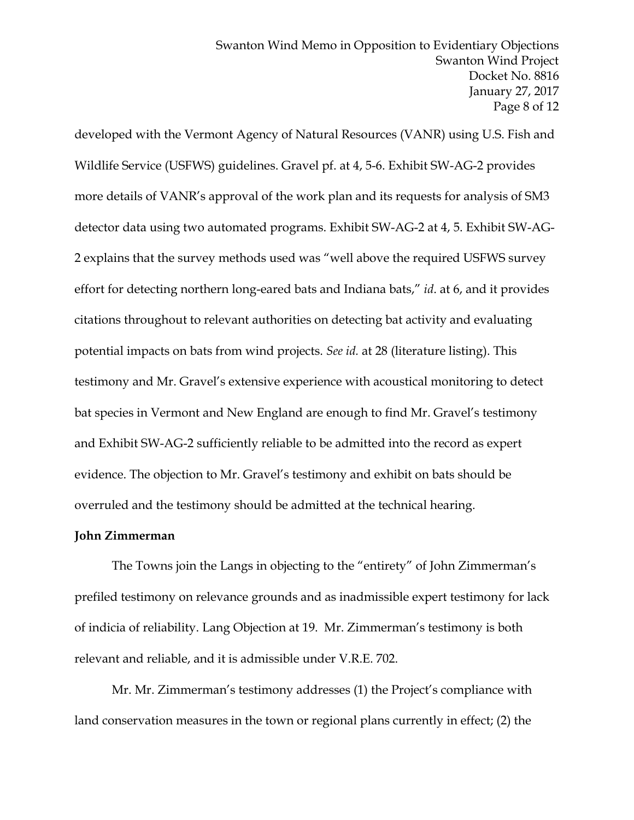developed with the Vermont Agency of Natural Resources (VANR) using U.S. Fish and Wildlife Service (USFWS) guidelines. Gravel pf. at 4, 5-6. Exhibit SW-AG-2 provides more details of VANR's approval of the work plan and its requests for analysis of SM3 detector data using two automated programs. Exhibit SW-AG-2 at 4, 5. Exhibit SW-AG-2 explains that the survey methods used was "well above the required USFWS survey effort for detecting northern long-eared bats and Indiana bats," *id*. at 6, and it provides citations throughout to relevant authorities on detecting bat activity and evaluating potential impacts on bats from wind projects. *See id.* at 28 (literature listing). This testimony and Mr. Gravel's extensive experience with acoustical monitoring to detect bat species in Vermont and New England are enough to find Mr. Gravel's testimony and Exhibit SW-AG-2 sufficiently reliable to be admitted into the record as expert evidence. The objection to Mr. Gravel's testimony and exhibit on bats should be overruled and the testimony should be admitted at the technical hearing.

### **John Zimmerman**

The Towns join the Langs in objecting to the "entirety" of John Zimmerman's prefiled testimony on relevance grounds and as inadmissible expert testimony for lack of indicia of reliability. Lang Objection at 19. Mr. Zimmerman's testimony is both relevant and reliable, and it is admissible under V.R.E. 702.

Mr. Mr. Zimmerman's testimony addresses (1) the Project's compliance with land conservation measures in the town or regional plans currently in effect; (2) the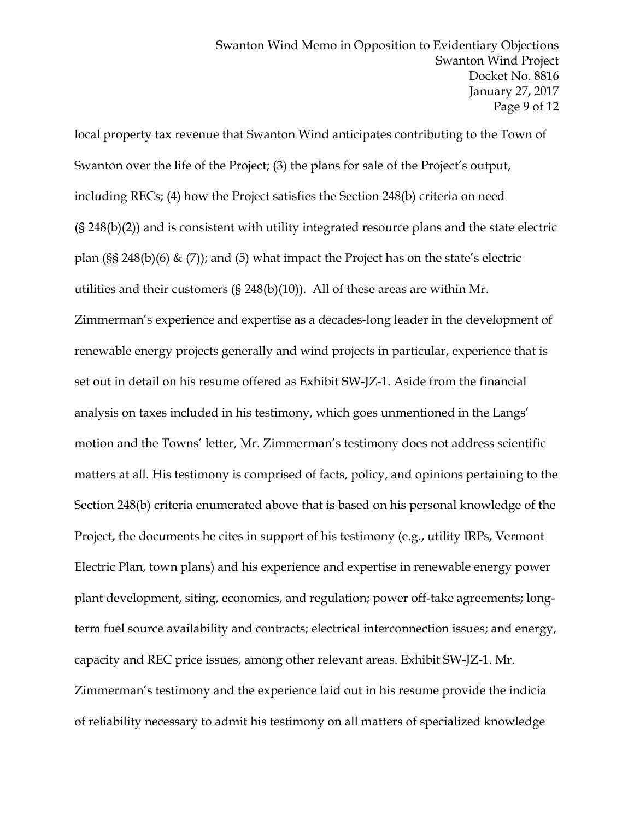local property tax revenue that Swanton Wind anticipates contributing to the Town of Swanton over the life of the Project; (3) the plans for sale of the Project's output, including RECs; (4) how the Project satisfies the Section 248(b) criteria on need (§ 248(b)(2)) and is consistent with utility integrated resource plans and the state electric plan (§§ 248(b)(6)  $\&$  (7)); and (5) what impact the Project has on the state's electric utilities and their customers (§ 248(b)(10)). All of these areas are within Mr. Zimmerman's experience and expertise as a decades-long leader in the development of renewable energy projects generally and wind projects in particular, experience that is set out in detail on his resume offered as Exhibit SW-JZ-1. Aside from the financial analysis on taxes included in his testimony, which goes unmentioned in the Langs' motion and the Towns' letter, Mr. Zimmerman's testimony does not address scientific matters at all. His testimony is comprised of facts, policy, and opinions pertaining to the Section 248(b) criteria enumerated above that is based on his personal knowledge of the Project, the documents he cites in support of his testimony (e.g., utility IRPs, Vermont Electric Plan, town plans) and his experience and expertise in renewable energy power plant development, siting, economics, and regulation; power off-take agreements; longterm fuel source availability and contracts; electrical interconnection issues; and energy, capacity and REC price issues, among other relevant areas. Exhibit SW-JZ-1. Mr. Zimmerman's testimony and the experience laid out in his resume provide the indicia of reliability necessary to admit his testimony on all matters of specialized knowledge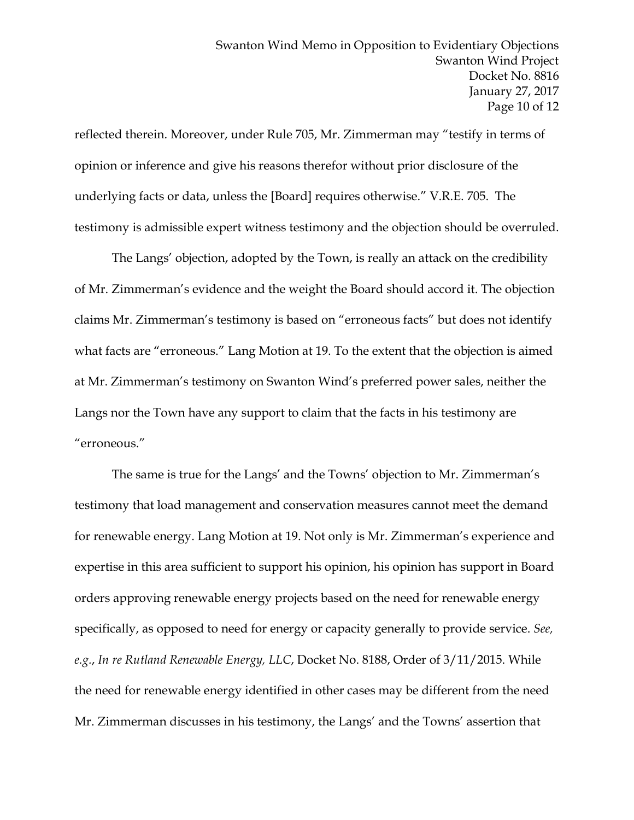reflected therein. Moreover, under Rule 705, Mr. Zimmerman may "testify in terms of opinion or inference and give his reasons therefor without prior disclosure of the underlying facts or data, unless the [Board] requires otherwise." V.R.E. 705. The testimony is admissible expert witness testimony and the objection should be overruled.

The Langs' objection, adopted by the Town, is really an attack on the credibility of Mr. Zimmerman's evidence and the weight the Board should accord it. The objection claims Mr. Zimmerman's testimony is based on "erroneous facts" but does not identify what facts are "erroneous." Lang Motion at 19. To the extent that the objection is aimed at Mr. Zimmerman's testimony on Swanton Wind's preferred power sales, neither the Langs nor the Town have any support to claim that the facts in his testimony are "erroneous."

The same is true for the Langs' and the Towns' objection to Mr. Zimmerman's testimony that load management and conservation measures cannot meet the demand for renewable energy. Lang Motion at 19. Not only is Mr. Zimmerman's experience and expertise in this area sufficient to support his opinion, his opinion has support in Board orders approving renewable energy projects based on the need for renewable energy specifically, as opposed to need for energy or capacity generally to provide service. *See, e.g.*, *In re Rutland Renewable Energy, LLC*, Docket No. 8188, Order of 3/11/2015. While the need for renewable energy identified in other cases may be different from the need Mr. Zimmerman discusses in his testimony, the Langs' and the Towns' assertion that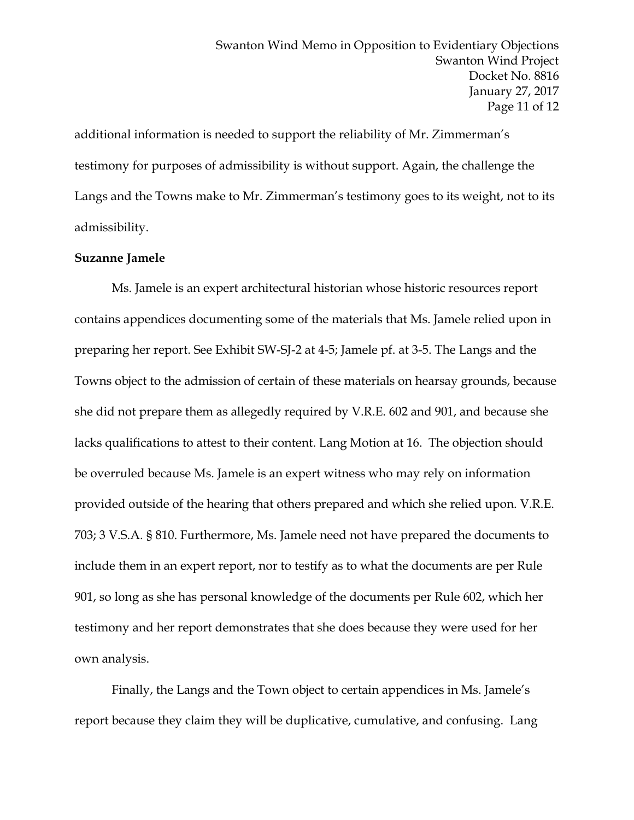additional information is needed to support the reliability of Mr. Zimmerman's testimony for purposes of admissibility is without support. Again, the challenge the Langs and the Towns make to Mr. Zimmerman's testimony goes to its weight, not to its admissibility.

#### **Suzanne Jamele**

Ms. Jamele is an expert architectural historian whose historic resources report contains appendices documenting some of the materials that Ms. Jamele relied upon in preparing her report. See Exhibit SW-SJ-2 at 4-5; Jamele pf. at 3-5. The Langs and the Towns object to the admission of certain of these materials on hearsay grounds, because she did not prepare them as allegedly required by V.R.E. 602 and 901, and because she lacks qualifications to attest to their content. Lang Motion at 16. The objection should be overruled because Ms. Jamele is an expert witness who may rely on information provided outside of the hearing that others prepared and which she relied upon. V.R.E. 703; 3 V.S.A. § 810. Furthermore, Ms. Jamele need not have prepared the documents to include them in an expert report, nor to testify as to what the documents are per Rule 901, so long as she has personal knowledge of the documents per Rule 602, which her testimony and her report demonstrates that she does because they were used for her own analysis.

Finally, the Langs and the Town object to certain appendices in Ms. Jamele's report because they claim they will be duplicative, cumulative, and confusing. Lang